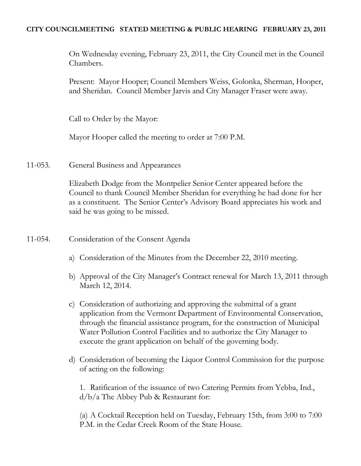## **CITY COUNCILMEETING STATED MEETING & PUBLIC HEARING FEBRUARY 23, 2011**

On Wednesday evening, February 23, 2011, the City Council met in the Council Chambers.

Present: Mayor Hooper; Council Members Weiss, Golonka, Sherman, Hooper, and Sheridan. Council Member Jarvis and City Manager Fraser were away.

Call to Order by the Mayor:

Mayor Hooper called the meeting to order at 7:00 P.M.

11-053. General Business and Appearances

Elizabeth Dodge from the Montpelier Senior Center appeared before the Council to thank Council Member Sheridan for everything he had done for her as a constituent. The Senior Center's Advisory Board appreciates his work and said he was going to be missed.

- 11-054. Consideration of the Consent Agenda
	- a) Consideration of the Minutes from the December 22, 2010 meeting.
	- b) Approval of the City Manager's Contract renewal for March 13, 2011 through March 12, 2014.
	- c) Consideration of authorizing and approving the submittal of a grant application from the Vermont Department of Environmental Conservation, through the financial assistance program, for the construction of Municipal Water Pollution Control Facilities and to authorize the City Manager to execute the grant application on behalf of the governing body.
	- d) Consideration of becoming the Liquor Control Commission for the purpose of acting on the following:

1. Ratification of the issuance of two Catering Permits from Yebba, Ind., d/b/a The Abbey Pub & Restaurant for:

(a) A Cocktail Reception held on Tuesday, February 15th, from 3:00 to 7:00 P.M. in the Cedar Creek Room of the State House.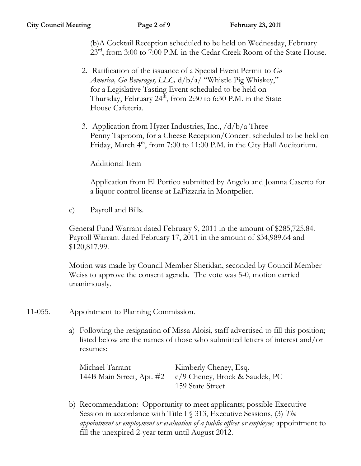(b)A Cocktail Reception scheduled to be held on Wednesday, February 23<sup>rd</sup>, from 3:00 to 7:00 P.M. in the Cedar Creek Room of the State House.

- 2. Ratification of the issuance of a Special Event Permit to *Go America, Go Beverages, LLC,* d/b/a/ "Whistle Pig Whiskey," for a Legislative Tasting Event scheduled to be held on Thursday, February  $24<sup>th</sup>$ , from 2:30 to 6:30 P.M. in the State House Cafeteria.
- 3. Application from Hyzer Industries, Inc.,  $\frac{d}{b/a}$  Three Penny Taproom, for a Cheese Reception/Concert scheduled to be held on Friday, March 4<sup>th</sup>, from 7:00 to 11:00 P.M. in the City Hall Auditorium.

Additional Item

Application from El Portico submitted by Angelo and Joanna Caserto for a liquor control license at LaPizzaria in Montpelier.

c) Payroll and Bills.

General Fund Warrant dated February 9, 2011 in the amount of \$285,725.84. Payroll Warrant dated February 17, 2011 in the amount of \$34,989.64 and \$120,817.99.

Motion was made by Council Member Sheridan, seconded by Council Member Weiss to approve the consent agenda. The vote was 5-0, motion carried unanimously.

- 11-055. Appointment to Planning Commission.
	- a) Following the resignation of Missa Aloisi, staff advertised to fill this position; listed below are the names of those who submitted letters of interest and/or resumes:

| Michael Tarrant | Kimberly Cheney, Esq.                                    |
|-----------------|----------------------------------------------------------|
|                 | 144B Main Street, Apt. #2 c/9 Cheney, Brock & Saudek, PC |
|                 | 159 State Street                                         |

b) Recommendation: Opportunity to meet applicants; possible Executive Session in accordance with Title I § 313, Executive Sessions, (3) *The appointment or employment or evaluation of a public officer or employee;* appointment to fill the unexpired 2-year term until August 2012.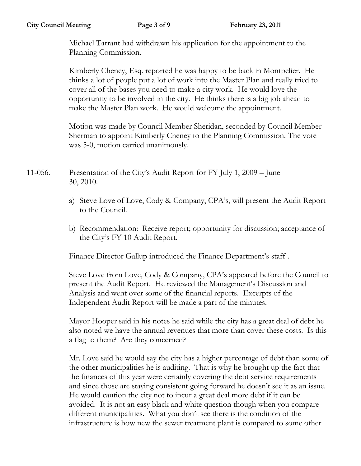Michael Tarrant had withdrawn his application for the appointment to the Planning Commission.

Kimberly Cheney, Esq. reported he was happy to be back in Montpelier. He thinks a lot of people put a lot of work into the Master Plan and really tried to cover all of the bases you need to make a city work. He would love the opportunity to be involved in the city. He thinks there is a big job ahead to make the Master Plan work. He would welcome the appointment.

Motion was made by Council Member Sheridan, seconded by Council Member Sherman to appoint Kimberly Cheney to the Planning Commission. The vote was 5-0, motion carried unanimously.

11-056. Presentation of the City's Audit Report for FY July 1, 2009 – June 30, 2010.

- a) Steve Love of Love, Cody & Company, CPA's, will present the Audit Report to the Council.
- b) Recommendation: Receive report; opportunity for discussion; acceptance of the City's FY 10 Audit Report.

Finance Director Gallup introduced the Finance Department's staff .

Steve Love from Love, Cody & Company, CPA's appeared before the Council to present the Audit Report. He reviewed the Management's Discussion and Analysis and went over some of the financial reports. Excerpts of the Independent Audit Report will be made a part of the minutes.

Mayor Hooper said in his notes he said while the city has a great deal of debt he also noted we have the annual revenues that more than cover these costs. Is this a flag to them? Are they concerned?

Mr. Love said he would say the city has a higher percentage of debt than some of the other municipalities he is auditing. That is why he brought up the fact that the finances of this year were certainly covering the debt service requirements and since those are staying consistent going forward he doesn't see it as an issue. He would caution the city not to incur a great deal more debt if it can be avoided. It is not an easy black and white question though when you compare different municipalities. What you don't see there is the condition of the infrastructure is how new the sewer treatment plant is compared to some other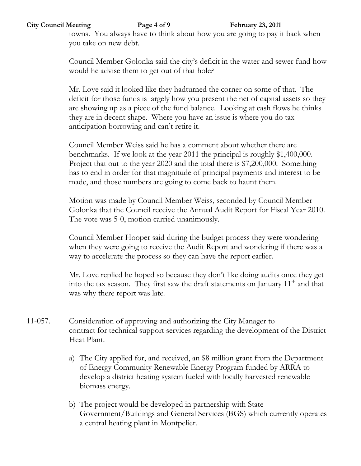towns. You always have to think about how you are going to pay it back when you take on new debt.

Council Member Golonka said the city's deficit in the water and sewer fund how would he advise them to get out of that hole?

Mr. Love said it looked like they hadturned the corner on some of that. The deficit for those funds is largely how you present the net of capital assets so they are showing up as a piece of the fund balance. Looking at cash flows he thinks they are in decent shape. Where you have an issue is where you do tax anticipation borrowing and can't retire it.

Council Member Weiss said he has a comment about whether there are benchmarks. If we look at the year 2011 the principal is roughly \$1,400,000. Project that out to the year 2020 and the total there is \$7,200,000. Something has to end in order for that magnitude of principal payments and interest to be made, and those numbers are going to come back to haunt them.

Motion was made by Council Member Weiss, seconded by Council Member Golonka that the Council receive the Annual Audit Report for Fiscal Year 2010. The vote was 5-0, motion carried unanimously.

Council Member Hooper said during the budget process they were wondering when they were going to receive the Audit Report and wondering if there was a way to accelerate the process so they can have the report earlier.

Mr. Love replied he hoped so because they don't like doing audits once they get into the tax season. They first saw the draft statements on January 11<sup>th</sup> and that was why there report was late.

- 11-057. Consideration of approving and authorizing the City Manager to contract for technical support services regarding the development of the District Heat Plant.
	- a) The City applied for, and received, an \$8 million grant from the Department of Energy Community Renewable Energy Program funded by ARRA to develop a district heating system fueled with locally harvested renewable biomass energy.
	- b) The project would be developed in partnership with State Government/Buildings and General Services (BGS) which currently operates a central heating plant in Montpelier.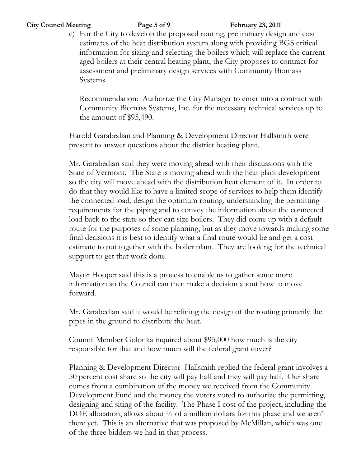c) For the City to develop the proposed routing, preliminary design and cost estimates of the heat distribution system along with providing BGS critical information for sizing and selecting the boilers which will replace the current aged boilers at their central heating plant, the City proposes to contract for assessment and preliminary design services with Community Biomass Systems.

Recommendation: Authorize the City Manager to enter into a contract with Community Biomass Systems, Inc. for the necessary technical services up to the amount of \$95,490.

Harold Garabedian and Planning & Development Director Hallsmith were present to answer questions about the district heating plant.

Mr. Garabedian said they were moving ahead with their discussions with the State of Vermont. The State is moving ahead with the heat plant development so the city will move ahead with the distribution heat element of it. In order to do that they would like to have a limited scope of services to help them identify the connected load, design the optimum routing, understanding the permitting requirements for the piping and to convey the information about the connected load back to the state so they can size boilers. They did come up with a default route for the purposes of some planning, but as they move towards making some final decisions it is best to identify what a final route would be and get a cost estimate to put together with the boiler plant. They are looking for the technical support to get that work done.

Mayor Hooper said this is a process to enable us to gather some more information so the Council can then make a decision about how to move forward.

Mr. Garabedian said it would be refining the design of the routing primarily the pipes in the ground to distribute the heat.

Council Member Golonka inquired about \$95,000 how much is the city responsible for that and how much will the federal grant cover?

Planning & Development Director Hallsmith replied the federal grant involves a 50 percent cost share so the city will pay half and they will pay half. Our share comes from a combination of the money we received from the Community Development Fund and the money the voters voted to authorize the permitting, designing and siting of the facility. The Phase I cost of the project, including the DOE allocation, allows about  $\frac{3}{4}$  of a million dollars for this phase and we aren't there yet. This is an alternative that was proposed by McMillan, which was one of the three bidders we had in that process.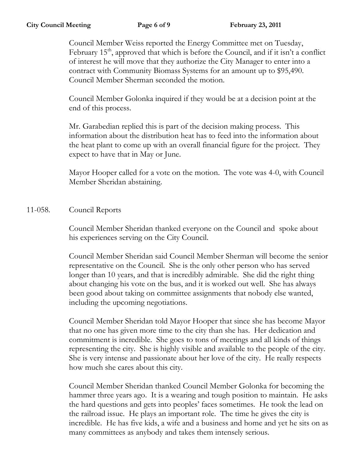Council Member Weiss reported the Energy Committee met on Tuesday, February  $15<sup>th</sup>$ , approved that which is before the Council, and if it isn't a conflict of interest he will move that they authorize the City Manager to enter into a contract with Community Biomass Systems for an amount up to \$95,490. Council Member Sherman seconded the motion.

Council Member Golonka inquired if they would be at a decision point at the end of this process.

Mr. Garabedian replied this is part of the decision making process. This information about the distribution heat has to feed into the information about the heat plant to come up with an overall financial figure for the project. They expect to have that in May or June.

Mayor Hooper called for a vote on the motion. The vote was 4-0, with Council Member Sheridan abstaining.

## 11-058. Council Reports

Council Member Sheridan thanked everyone on the Council and spoke about his experiences serving on the City Council.

Council Member Sheridan said Council Member Sherman will become the senior representative on the Council. She is the only other person who has served longer than 10 years, and that is incredibly admirable. She did the right thing about changing his vote on the bus, and it is worked out well. She has always been good about taking on committee assignments that nobody else wanted, including the upcoming negotiations.

Council Member Sheridan told Mayor Hooper that since she has become Mayor that no one has given more time to the city than she has. Her dedication and commitment is incredible. She goes to tons of meetings and all kinds of things representing the city. She is highly visible and available to the people of the city. She is very intense and passionate about her love of the city. He really respects how much she cares about this city.

Council Member Sheridan thanked Council Member Golonka for becoming the hammer three years ago. It is a wearing and tough position to maintain. He asks the hard questions and gets into peoples' faces sometimes. He took the lead on the railroad issue. He plays an important role. The time he gives the city is incredible. He has five kids, a wife and a business and home and yet he sits on as many committees as anybody and takes them intensely serious.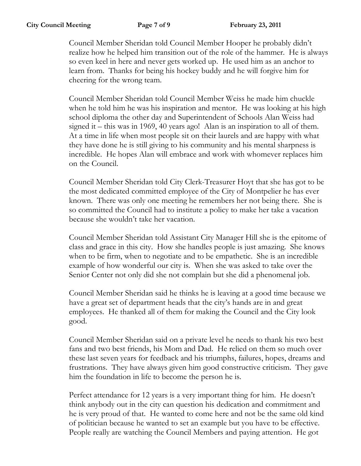Council Member Sheridan told Council Member Hooper he probably didn't realize how he helped him transition out of the role of the hammer. He is always so even keel in here and never gets worked up. He used him as an anchor to learn from. Thanks for being his hockey buddy and he will forgive him for cheering for the wrong team.

Council Member Sheridan told Council Member Weiss he made him chuckle when he told him he was his inspiration and mentor. He was looking at his high school diploma the other day and Superintendent of Schools Alan Weiss had signed it – this was in 1969, 40 years ago! Alan is an inspiration to all of them. At a time in life when most people sit on their laurels and are happy with what they have done he is still giving to his community and his mental sharpness is incredible. He hopes Alan will embrace and work with whomever replaces him on the Council.

Council Member Sheridan told City Clerk-Treasurer Hoyt that she has got to be the most dedicated committed employee of the City of Montpelier he has ever known. There was only one meeting he remembers her not being there. She is so committed the Council had to institute a policy to make her take a vacation because she wouldn't take her vacation.

Council Member Sheridan told Assistant City Manager Hill she is the epitome of class and grace in this city. How she handles people is just amazing. She knows when to be firm, when to negotiate and to be empathetic. She is an incredible example of how wonderful our city is. When she was asked to take over the Senior Center not only did she not complain but she did a phenomenal job.

Council Member Sheridan said he thinks he is leaving at a good time because we have a great set of department heads that the city's hands are in and great employees. He thanked all of them for making the Council and the City look good.

Council Member Sheridan said on a private level he needs to thank his two best fans and two best friends, his Mom and Dad. He relied on them so much over these last seven years for feedback and his triumphs, failures, hopes, dreams and frustrations. They have always given him good constructive criticism. They gave him the foundation in life to become the person he is.

Perfect attendance for 12 years is a very important thing for him. He doesn't think anybody out in the city can question his dedication and commitment and he is very proud of that. He wanted to come here and not be the same old kind of politician because he wanted to set an example but you have to be effective. People really are watching the Council Members and paying attention. He got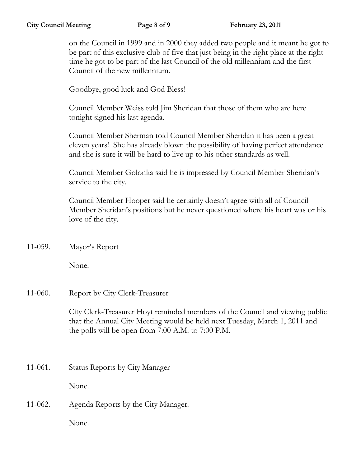on the Council in 1999 and in 2000 they added two people and it meant he got to be part of this exclusive club of five that just being in the right place at the right time he got to be part of the last Council of the old millennium and the first Council of the new millennium.

Goodbye, good luck and God Bless!

Council Member Weiss told Jim Sheridan that those of them who are here tonight signed his last agenda.

Council Member Sherman told Council Member Sheridan it has been a great eleven years! She has already blown the possibility of having perfect attendance and she is sure it will be hard to live up to his other standards as well.

Council Member Golonka said he is impressed by Council Member Sheridan's service to the city.

Council Member Hooper said he certainly doesn't agree with all of Council Member Sheridan's positions but he never questioned where his heart was or his love of the city.

11-059. Mayor's Report

None.

11-060. Report by City Clerk-Treasurer

City Clerk-Treasurer Hoyt reminded members of the Council and viewing public that the Annual City Meeting would be held next Tuesday, March 1, 2011 and the polls will be open from 7:00 A.M. to 7:00 P.M.

11-061. Status Reports by City Manager

None.

11-062. Agenda Reports by the City Manager.

None.